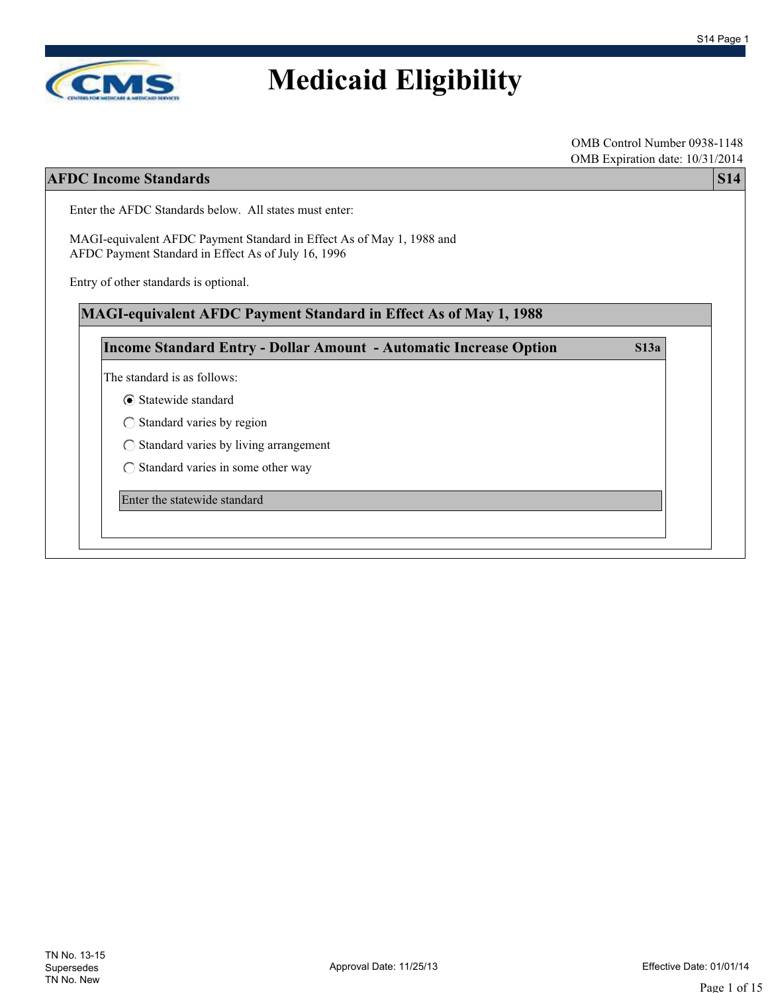

OMB Control Number 0938-1148 OMB Expiration date: 10/31/2014

#### **AFDC Income Standards S14**

Enter the AFDC Standards below. All states must enter:

MAGI-equivalent AFDC Payment Standard in Effect As of May 1, 1988 and AFDC Payment Standard in Effect As of July 16, 1996

Entry of other standards is optional.

**MAGI-equivalent AFDC Payment Standard in Effect As of May 1, 1988**

**Income Standard Entry - Dollar Amount - Automatic Increase Option S13a**

The standard is as follows:

Statewide standard

 $\bigcirc$  Standard varies by region

 $\bigcirc$  Standard varies by living arrangement

 $\bigcirc$  Standard varies in some other way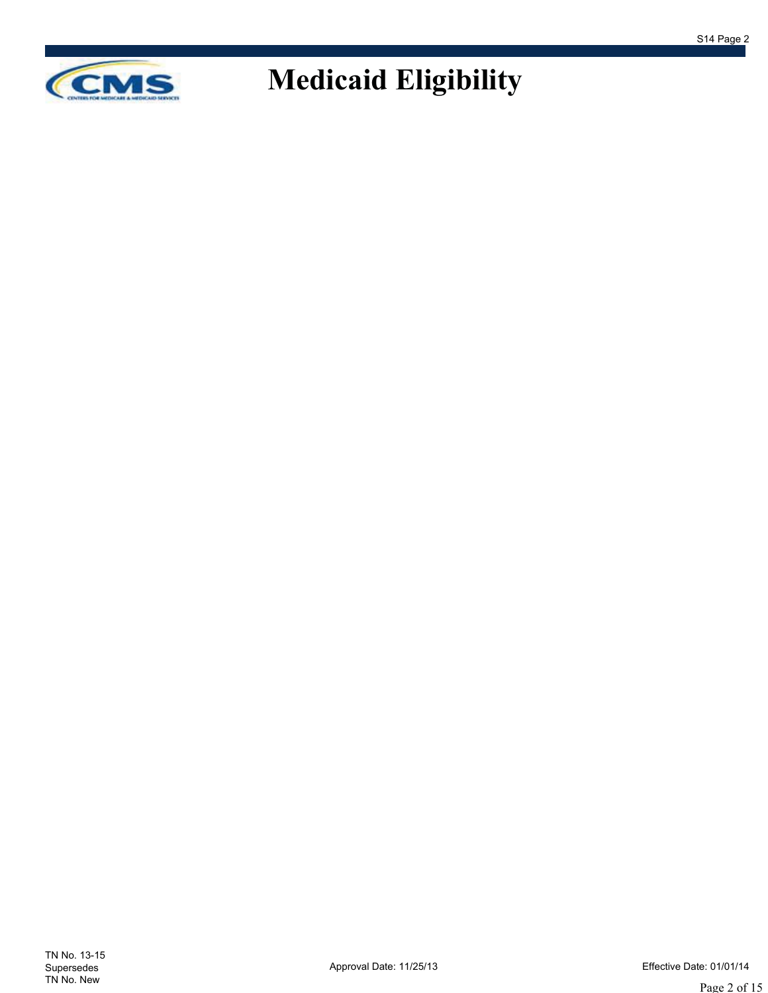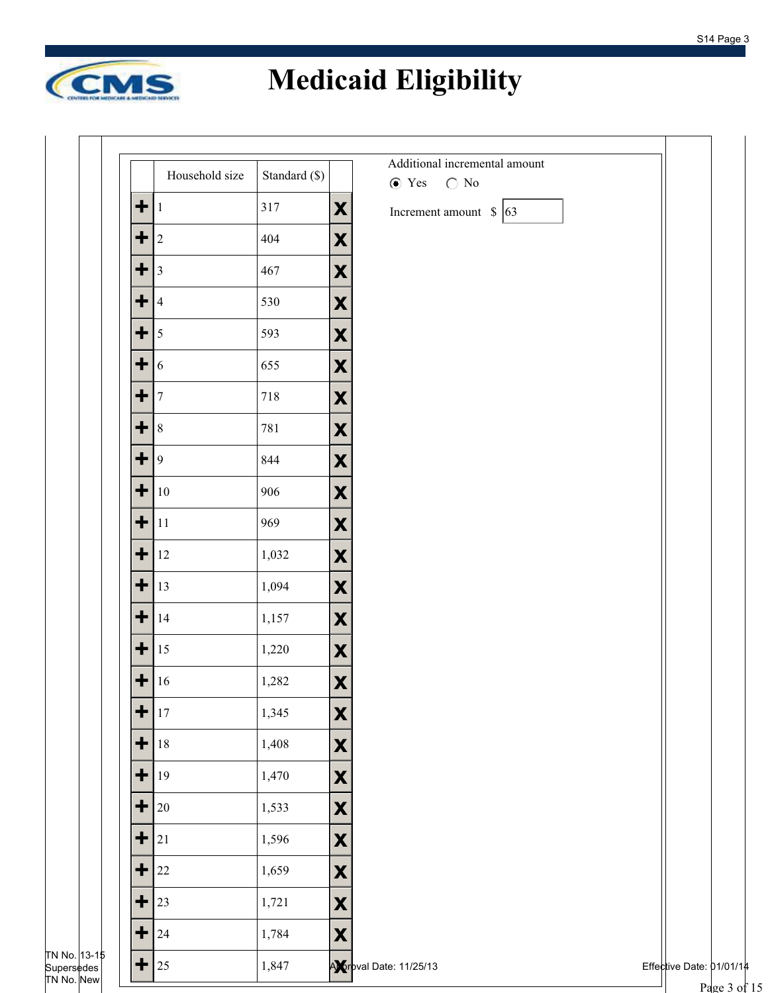

|            | Household size   | Standard (\$) |                 |
|------------|------------------|---------------|-----------------|
| Ł          | 1                | 317           | X               |
| ╊          | $\overline{c}$   | 404           | X               |
| ╈          | 3                | 467           | X               |
| ╊          | $\overline{4}$   | 530           | X               |
|            | 5                | 593           | X               |
| ٠          | 6                | 655           | X               |
| ╊          | $\boldsymbol{7}$ | 718           | X               |
| ╈          | 8                | 781           | X               |
| ۰          | 9                | 844           | X               |
|            | 10               | 906           | X               |
| t          | 11               | 969           | X               |
| Ł          | 12               | 1,032         | X               |
| ╈          | 13               | 1,094         | X               |
| ╊          | 14               | 1,157         | X               |
|            | 15               | 1,220         | X               |
| ۰          | 16               | 1,282         | X               |
| ш          | 17               | 1,345         | Y               |
| ╈          | 18               | 1,408         | X               |
| Ŧ          | 19               | 1,470         | X               |
|            | 20               | 1,533         | X               |
| $\ddagger$ | 21               | 1,596         | X               |
|            | 22               | 1,659         | X               |
| ╈          | 23               | 1,721         | X               |
|            | 24               | 1,784         | X               |
|            | 25               | 1,847         | <b>Algripva</b> |

| Additional incremental amount               |  |
|---------------------------------------------|--|
| $\bullet$ Yes $\quad$ $\bigcirc$ No $\quad$ |  |
|                                             |  |
| Increment amount $\int$ 63                  |  |
|                                             |  |
|                                             |  |
|                                             |  |
|                                             |  |
|                                             |  |
|                                             |  |
|                                             |  |
|                                             |  |
|                                             |  |
|                                             |  |
|                                             |  |
|                                             |  |
|                                             |  |
|                                             |  |
|                                             |  |
|                                             |  |
|                                             |  |
|                                             |  |
|                                             |  |
|                                             |  |
|                                             |  |
|                                             |  |
|                                             |  |
|                                             |  |
|                                             |  |
|                                             |  |
|                                             |  |
|                                             |  |
|                                             |  |
|                                             |  |
|                                             |  |
|                                             |  |
|                                             |  |
|                                             |  |
|                                             |  |
|                                             |  |
|                                             |  |
|                                             |  |
|                                             |  |

 $TN$  No.  $13-15$ Supersedes TN No. |New

 $\epsilon$ al Date: 11/25/13  $\epsilon$  Date: 01/01/14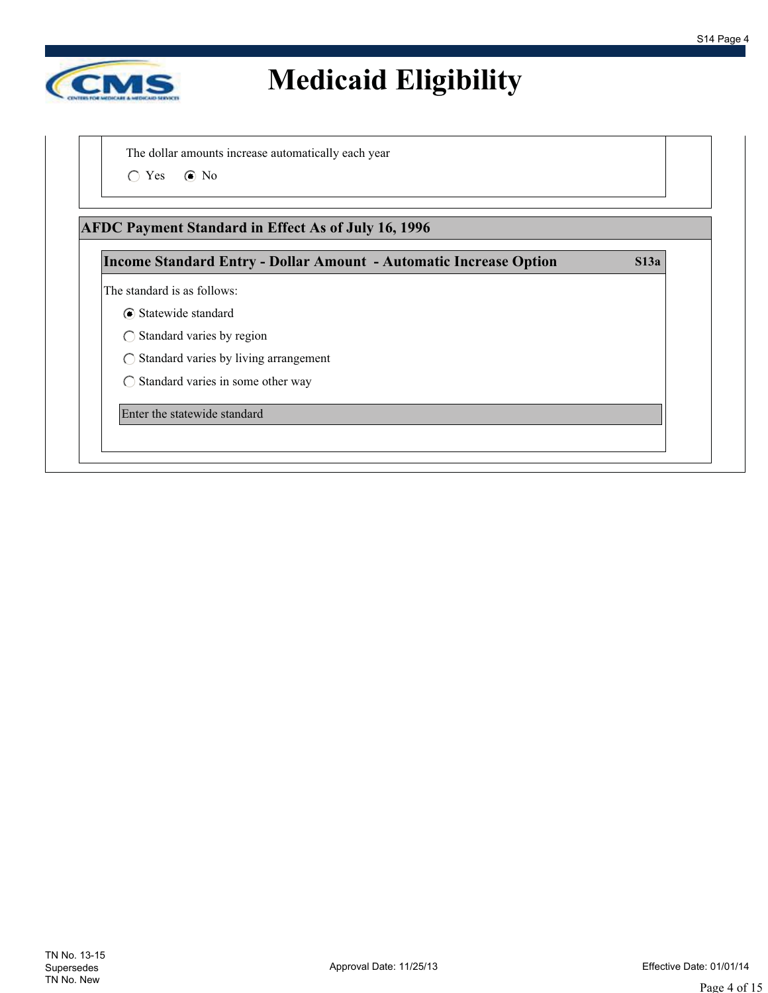

The dollar amounts increase automatically each year

 $\bigcirc$  Yes  $\bigcirc$  No

#### **AFDC Payment Standard in Effect As of July 16, 1996**

#### **Income Standard Entry - Dollar Amount - Automatic Increase Option S13a**

The standard is as follows:

- Statewide standard
- $\bigcirc$  Standard varies by region
- $\bigcirc$  Standard varies by living arrangement
- $\bigcirc$  Standard varies in some other way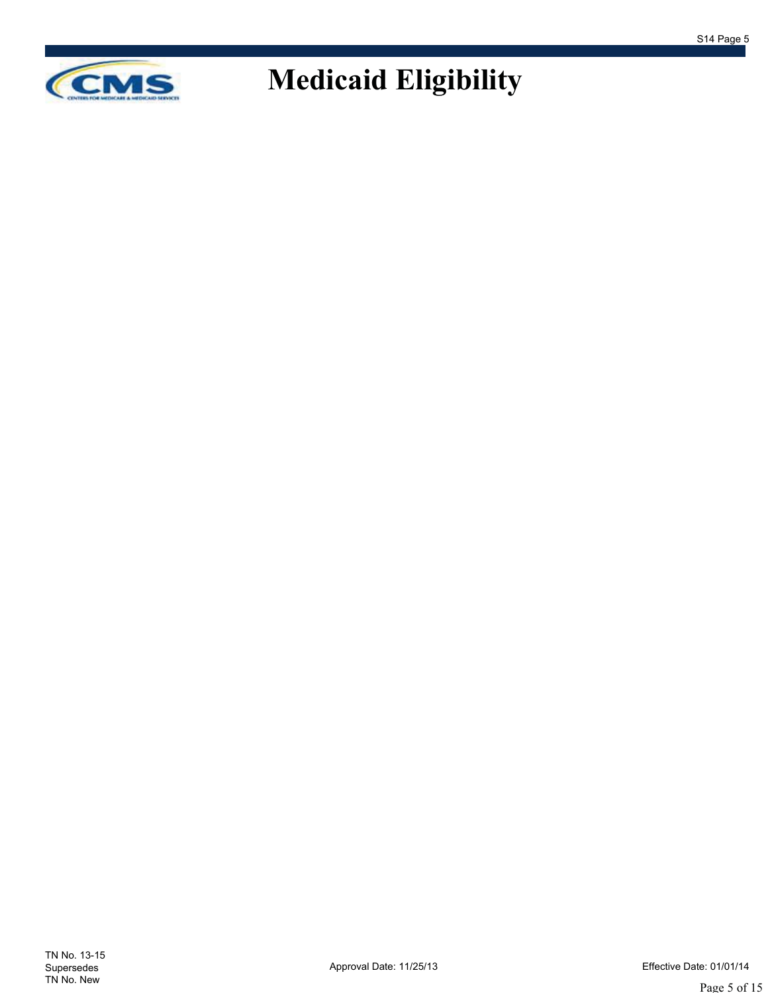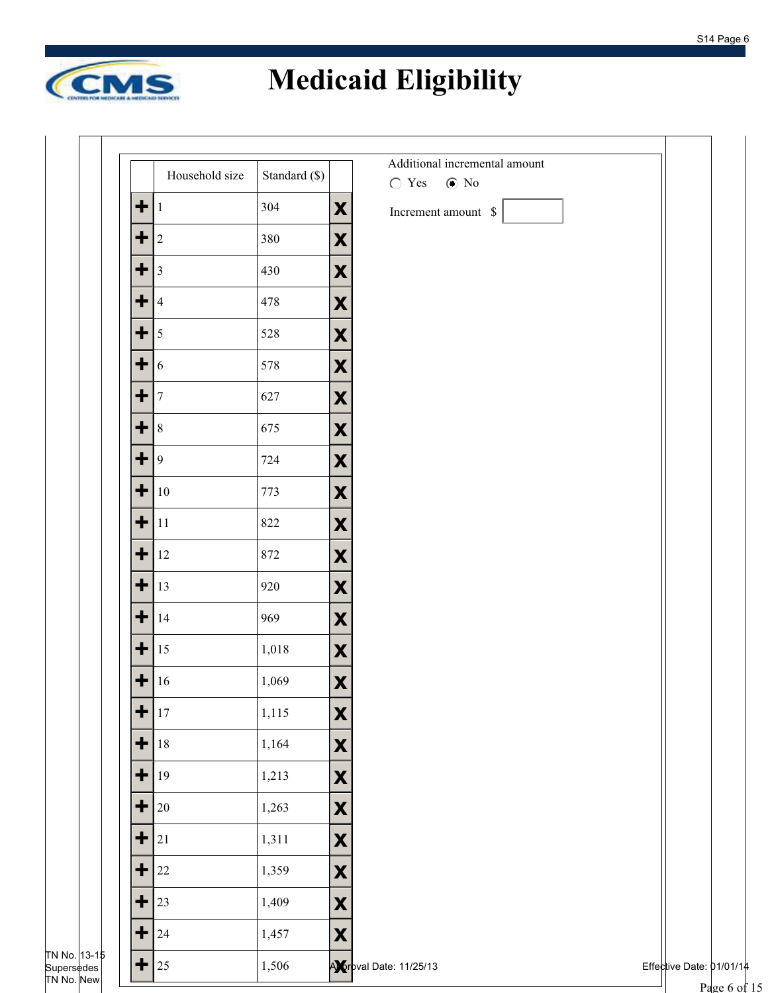

# **Medicaid Eligibility**

|         | Household size  | Standard (\$) | Additional incremental amount<br>$\odot$ No<br>$\bigcirc$ Yes |
|---------|-----------------|---------------|---------------------------------------------------------------|
| $\div$  | $\vert$ 1       | 304           | $\boldsymbol{\mathsf{X}}$<br>Increment amount \$              |
| $+ $    | $\vert$ 2       | 380           | $\mathbf{x}$                                                  |
| $\div$  | $\vert 3 \vert$ | 430           | $\boldsymbol{\mathsf{X}}$                                     |
| $\div$  | $\overline{4}$  | 478           | $\boldsymbol{\mathsf{X}}$                                     |
| $\div$  | 5               | 528           | $\mathbf{X}$                                                  |
| $\div$  | 6               | 578           | $\mathbf{X}$                                                  |
| $\div$  | $\overline{7}$  | 627           | $\mathbf{X}$                                                  |
| $\div$  | $\overline{8}$  | 675           | X                                                             |
| $\div$  | $\overline{9}$  | 724           | X                                                             |
| $\div$  | 10              | 773           | $\mathbf{X}$                                                  |
| $\div$  | $11\,$          | 822           | $\mathbf{x}$                                                  |
| $\pm  $ | 12              | 872           | $\boldsymbol{\mathsf{X}}$                                     |
| $\div$  | 13              | 920           | $\boldsymbol{\mathsf{X}}$                                     |
| $\div$  | 14              | 969           | $\boldsymbol{\mathsf{X}}$                                     |
| $\pm$   | 15              | 1,018         | $\boldsymbol{\mathsf{X}}$                                     |
| $\div$  | 16              | 1,069         | $\mathbf{X}$                                                  |
| $+ $    | <sup>17</sup>   | 1,115         | $\boldsymbol{\mathsf{X}}$                                     |
| $+ $    | 18              | 1,164         | X                                                             |
|         | $+$ 19          | 1,213         | X                                                             |
|         | $+$ 20          | 1,263         | $\boldsymbol{\mathsf{X}}$                                     |
| $\div$  | 21              | 1,311         | $\boldsymbol{\mathsf{X}}$                                     |
| $+ $    | 22              | 1,359         | $\boldsymbol{\mathsf{X}}$                                     |
| $\div$  | 23              | 1,409         | X                                                             |
| $\div$  | 24              | 1,457         | $\boldsymbol{\mathsf{X}}$                                     |
| $\pm  $ | 25              | 1,506         | Approval Date: 11/25/13<br>Effective Da                       |

te: 01/01/14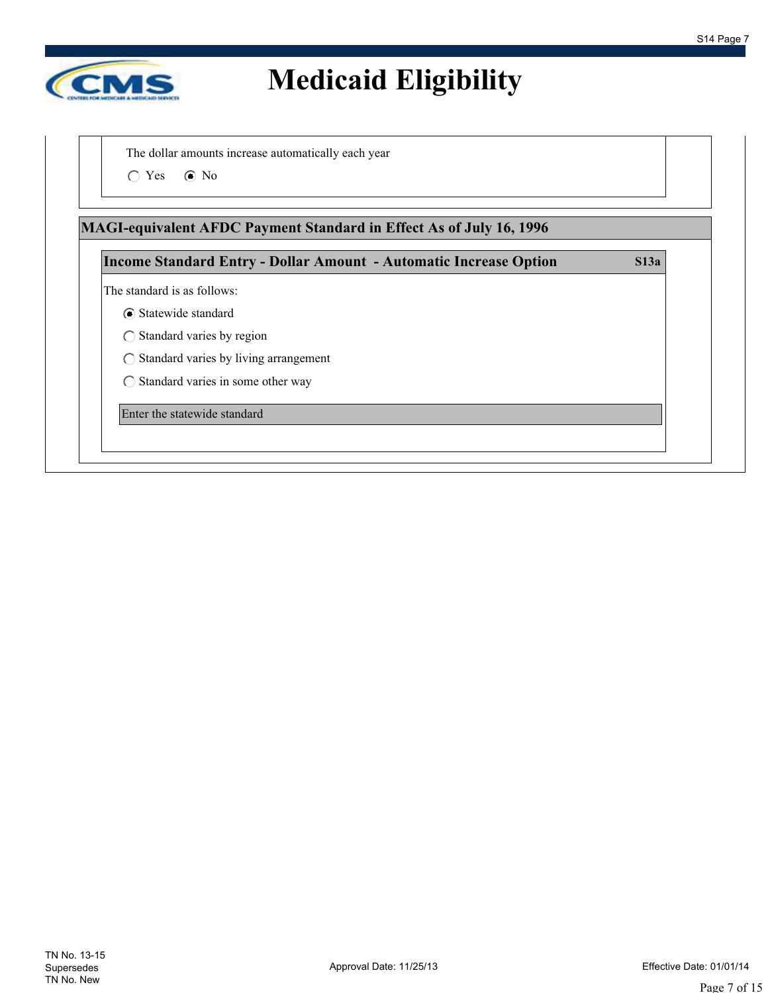

The dollar amounts increase automatically each year

 $\bigcirc$  Yes  $\bigcirc$  No

#### **MAGI-equivalent AFDC Payment Standard in Effect As of July 16, 1996**

#### **Income Standard Entry - Dollar Amount - Automatic Increase Option S13a**

The standard is as follows:

- Statewide standard
- $\bigcirc$  Standard varies by region
- $\bigcirc$  Standard varies by living arrangement
- $\bigcirc$  Standard varies in some other way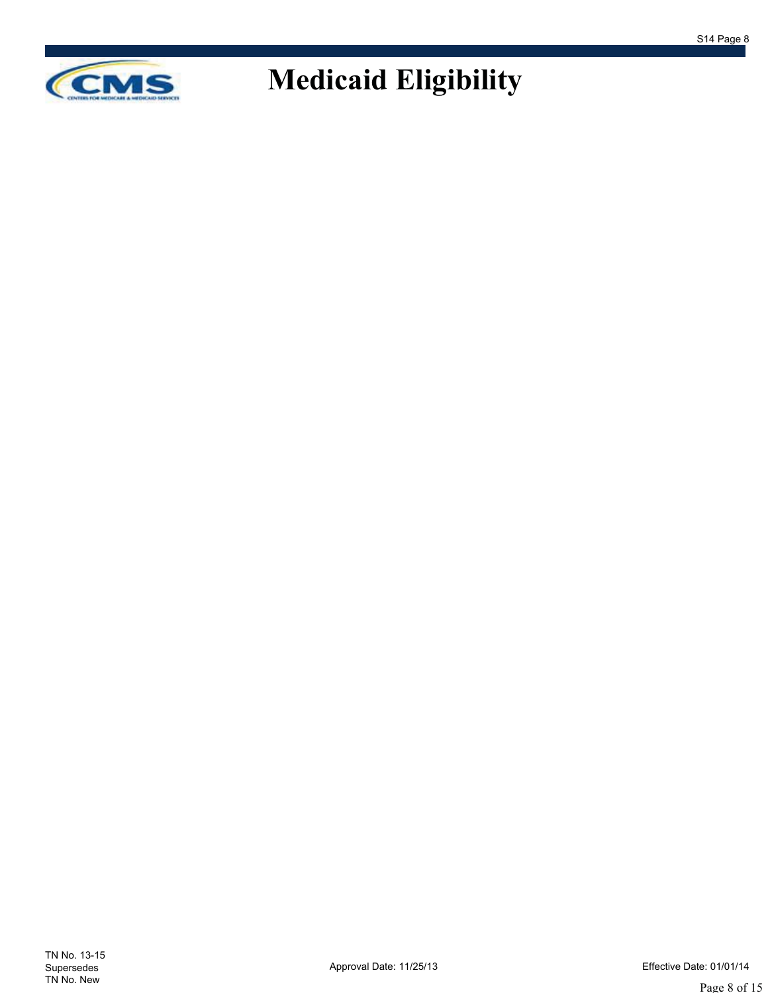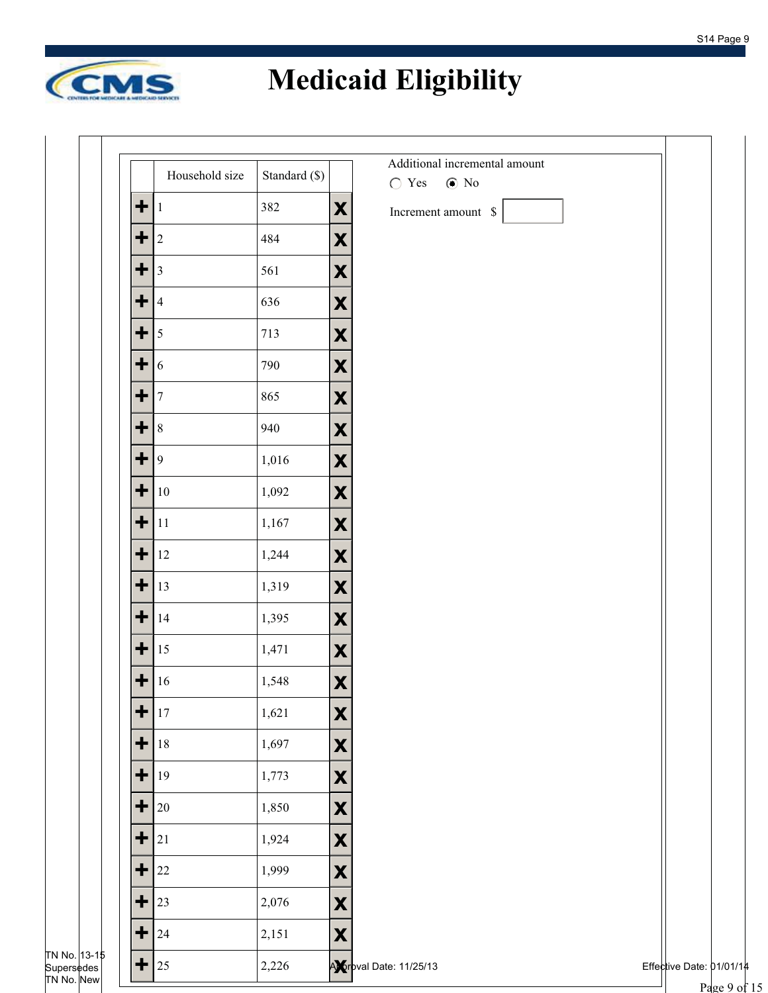

# **Medicaid Eligibility**

|                      | Household size   | Standard (\$) | Additional incremental amount<br>$\bigcirc$ Yes<br>$\odot$ No |
|----------------------|------------------|---------------|---------------------------------------------------------------|
| $\ddot{}$            | $\mathbf{1}$     | 382           | X<br>Increment amount \$                                      |
| $\div$               | $\sqrt{2}$       | 484           | $\boldsymbol{\mathsf{X}}$                                     |
| $\div$               | $\mathfrak{Z}$   | 561           | X                                                             |
| $\ddot{}$            | $\overline{4}$   | 636           | $\boldsymbol{\mathsf{X}}$                                     |
| $\ddot{\phantom{1}}$ | $\sqrt{5}$       | 713           | $\boldsymbol{\mathsf{X}}$                                     |
| $\ddot{}$            | 6                | 790           | $\boldsymbol{\mathsf{X}}$                                     |
| $\ddot{}$            | $\boldsymbol{7}$ | 865           | $\boldsymbol{\mathsf{X}}$                                     |
| $\div$               | $\,8\,$          | 940           | X                                                             |
| $\ddot{\phantom{1}}$ | $\overline{9}$   | 1,016         | $\boldsymbol{\mathsf{X}}$                                     |
| $\ddot{}$            | $10\,$           | 1,092         | X                                                             |
| $\ddot{}$            | $11\,$           | 1,167         | $\boldsymbol{\mathsf{X}}$                                     |
| $\div$               | $12\,$           | 1,244         | $\boldsymbol{\mathsf{X}}$                                     |
| $\div$               | 13               | 1,319         | $\boldsymbol{\mathsf{X}}$                                     |
| $\ddot{\phantom{1}}$ | 14               | 1,395         | $\boldsymbol{\mathsf{X}}$                                     |
| $\div$               | 15               | 1,471         | X                                                             |
| $\div$               | 16               | 1,548         | $\boldsymbol{\mathsf{X}}$                                     |
| $\ddot{}$            | $17\,$           | 1,621         | X                                                             |
| $\div$               | 18               | 1,697         | $\boldsymbol{\mathsf{X}}$                                     |
| $\pm  $              | 19               | 1,773         | $\boldsymbol{\mathsf{X}}$                                     |
| $\pm$                | 20               | 1,850         | $\boldsymbol{\mathsf{X}}$                                     |
| $\ddot{}$            | 21               | 1,924         | $\boldsymbol{\mathsf{X}}$                                     |
| ٠                    | 22               | 1,999         | $\boldsymbol{\mathsf{X}}$                                     |
| ╈                    | 23               | 2,076         | $\boldsymbol{\mathsf{X}}$                                     |
| $\div$               | $24\,$           | 2,151         | $\boldsymbol{\mathsf{X}}$                                     |

Approval Date: 11/25/13 Effective Date: 01/01/14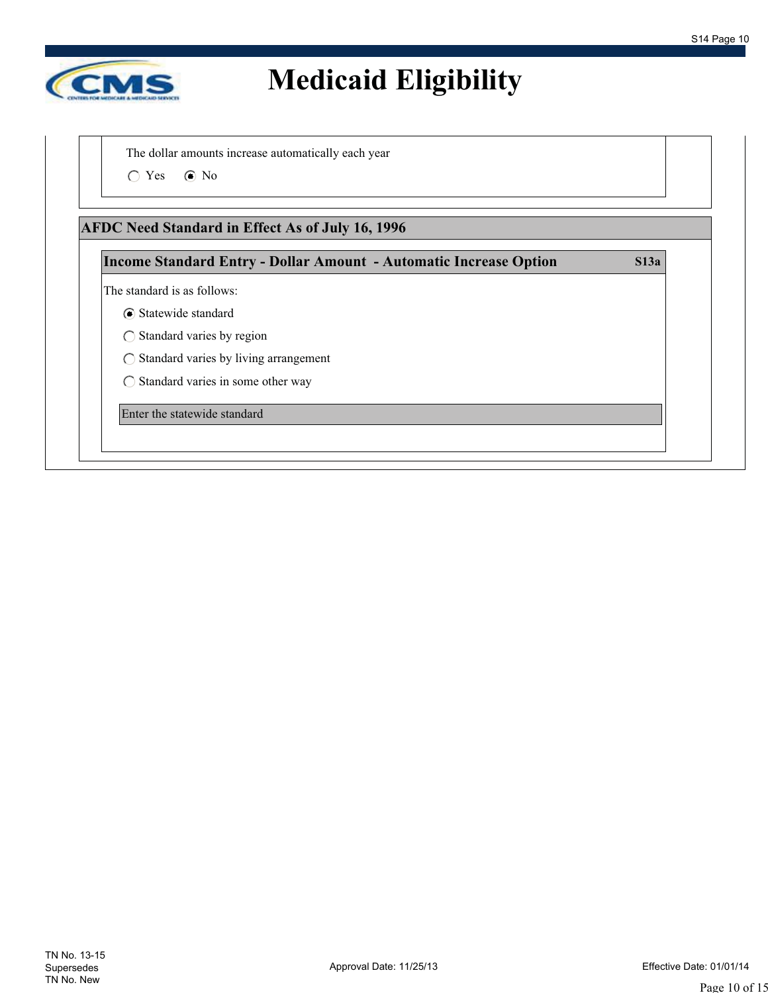

The dollar amounts increase automatically each year

 $\bigcirc$  Yes  $\bigcirc$  No

#### **AFDC Need Standard in Effect As of July 16, 1996**

#### **Income Standard Entry - Dollar Amount - Automatic Increase Option S13a**

The standard is as follows:

- Statewide standard
- $\bigcirc$  Standard varies by region
- $\bigcirc$  Standard varies by living arrangement
- $\bigcirc$  Standard varies in some other way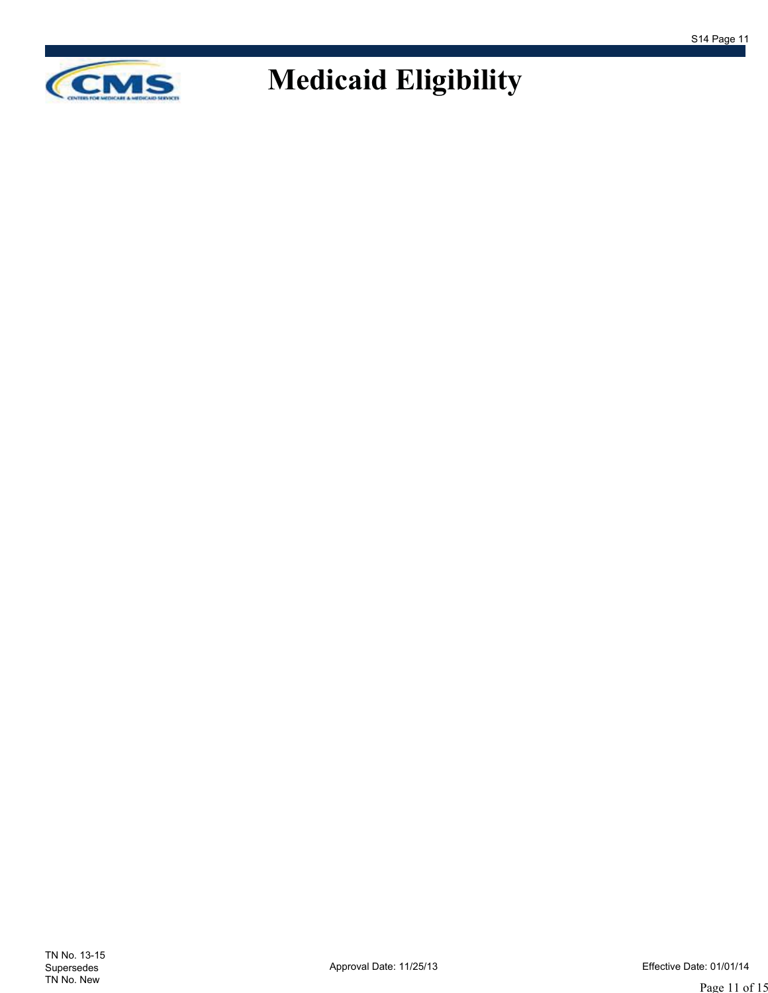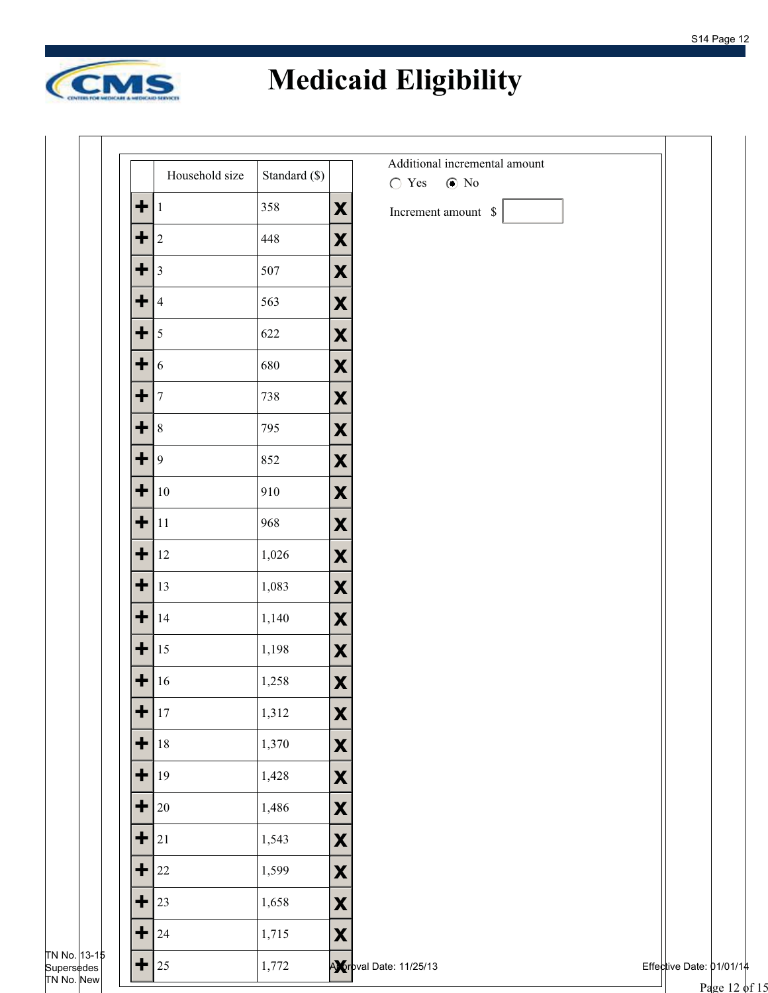

# **Medicaid Eligibility**

|                      | Household size          | Standard (\$) | Additional incremental amount<br>$\odot$ No<br>$\bigcirc$ Yes |                          |
|----------------------|-------------------------|---------------|---------------------------------------------------------------|--------------------------|
| $\ddot{}$            | $\vert$ 1               | 358           | X<br>Increment amount \$                                      |                          |
| $\pm  $              | $\vert$ 2               | 448           | $\boldsymbol{\mathsf{X}}$                                     |                          |
| $\div$               | $\vert 3 \vert$         | 507           | X                                                             |                          |
| $\ddot{\phantom{1}}$ | $\vert 4 \vert$         | 563           | X                                                             |                          |
| $\div$               | $\overline{\mathbf{5}}$ | 622           | X                                                             |                          |
| $\ddot{}$            | 6                       | 680           | X                                                             |                          |
| $\div$               | $\overline{7}$          | 738           | $\boldsymbol{\mathsf{X}}$                                     |                          |
| $\div$               | $\sqrt{8}$              | 795           | $\boldsymbol{\mathsf{X}}$                                     |                          |
| $\ddot{\phantom{1}}$ | $\overline{9}$          | 852           | $\boldsymbol{\mathsf{X}}$                                     |                          |
| $\pm  $              | 10                      | 910           | X                                                             |                          |
| $\ddot{}$            | $11\,$                  | 968           | $\boldsymbol{\mathsf{X}}$                                     |                          |
| $\pm  $              | 12                      | 1,026         | $\boldsymbol{\mathsf{X}}$                                     |                          |
| $\div$               | 13                      | 1,083         | X                                                             |                          |
| $\div$               | 14                      | 1,140         | $\boldsymbol{\mathsf{X}}$                                     |                          |
| $\pm  $              | 15                      | 1,198         | $\boldsymbol{\mathsf{X}}$                                     |                          |
| $\ddot{}$            | 16                      | 1,258         | X                                                             |                          |
|                      | $+$ 17                  | 1,312         | X                                                             |                          |
|                      | $+$   18                | 1,370         | X                                                             |                          |
|                      | $+$ 19                  | 1,428         | X                                                             |                          |
|                      | $+$ 20                  | 1,486         | X                                                             |                          |
| ٠                    | 21                      | 1,543         | X                                                             |                          |
| $\div$               | $22\,$                  | 1,599         | $\boldsymbol{\mathsf{X}}$                                     |                          |
| $\div$               | 23                      | 1,658         | X                                                             |                          |
| $\div$               | 24                      | 1,715         | X                                                             |                          |
|                      | $+$ 25                  | 1,772         | AX roval Date: 11/25/13                                       | Effective Date: 01/01/14 |

Page 12 of 15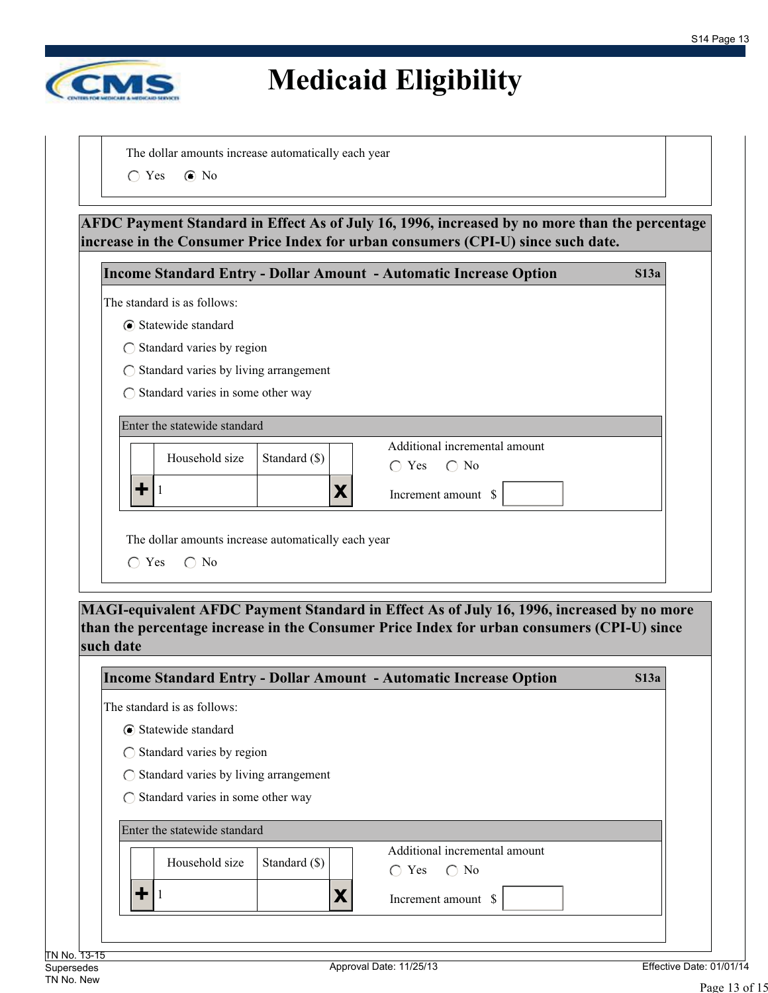

The dollar amounts increase automatically each year

 $\bigcirc$  Yes  $\bigcirc$  No

**AFDC Payment Standard in Effect As of July 16, 1996, increased by no more than the percentage increase in the Consumer Price Index for urban consumers (CPI-U) since such date.**

| The standard is as follows:                  |                               |  |
|----------------------------------------------|-------------------------------|--|
| <b>⊙</b> Statewide standard                  |                               |  |
| Standard varies by region                    |                               |  |
| Standard varies by living arrangement        |                               |  |
| $\bigcirc$ Standard varies in some other way |                               |  |
| Enter the statewide standard                 | Additional incremental amount |  |

**MAGI-equivalent AFDC Payment Standard in Effect As of July 16, 1996, increased by no more than the percentage increase in the Consumer Price Index for urban consumers (CPI-U) since such date**

| The standard is as follows:                      |               |                                                               |  |
|--------------------------------------------------|---------------|---------------------------------------------------------------|--|
| <b>⊙</b> Statewide standard                      |               |                                                               |  |
| $\bigcirc$ Standard varies by region             |               |                                                               |  |
| $\bigcirc$ Standard varies by living arrangement |               |                                                               |  |
| $\bigcirc$ Standard varies in some other way     |               |                                                               |  |
| Enter the statewide standard                     |               |                                                               |  |
| Household size                                   | Standard (\$) | Additional incremental amount<br>$\bigcirc$ Yes $\bigcirc$ No |  |
| ╈                                                |               | Increment amount \$                                           |  |
|                                                  |               |                                                               |  |

Page 13 of 15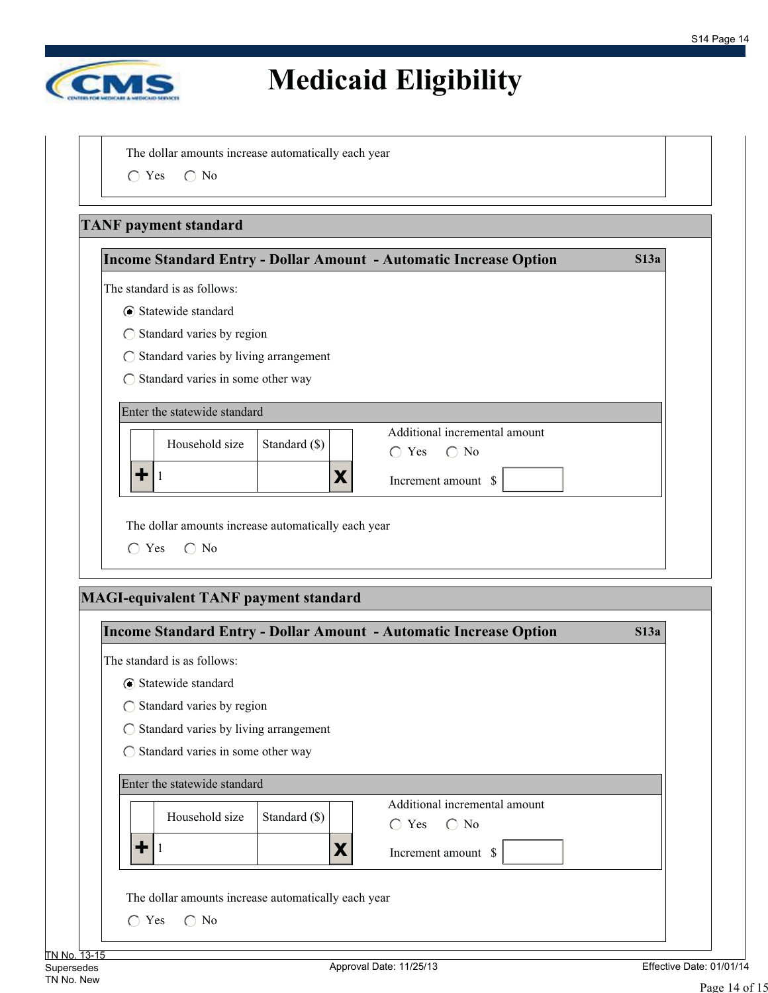

The dollar amounts increase automatically each year

 $\bigcirc$  Yes  $\bigcirc$  No

### **TANF payment standard**

| The standard is as follows:                                     |                                                                 |  |
|-----------------------------------------------------------------|-----------------------------------------------------------------|--|
| <b>⊙</b> Statewide standard                                     |                                                                 |  |
| Standard varies by region                                       |                                                                 |  |
| Standard varies by living arrangement                           |                                                                 |  |
| Standard varies in some other way                               |                                                                 |  |
| Enter the statewide standard<br>Household size<br>Standard (\$) | Additional incremental amount<br>$\bigcirc$ Yes<br>$\bigcap$ No |  |
| X                                                               | Increment amount \$                                             |  |

### **MAGI-equivalent TANF payment standard**

| The standard is as follows:                         |                                                                                     |  |
|-----------------------------------------------------|-------------------------------------------------------------------------------------|--|
| <b>⊙</b> Statewide standard                         |                                                                                     |  |
| $\bigcirc$ Standard varies by region                |                                                                                     |  |
| Standard varies by living arrangement<br>∩          |                                                                                     |  |
| Standard varies in some other way                   |                                                                                     |  |
| Enter the statewide standard                        |                                                                                     |  |
| Household size                                      | Additional incremental amount<br>Standard (\$)<br>$\bigcirc$ No<br>Yes<br>$\bigcap$ |  |
| ÷                                                   | Х<br>Increment amount \$                                                            |  |
| The dollar amounts increase automatically each year |                                                                                     |  |
| $\bigcirc$ No<br>$\bigcirc$ Yes                     |                                                                                     |  |